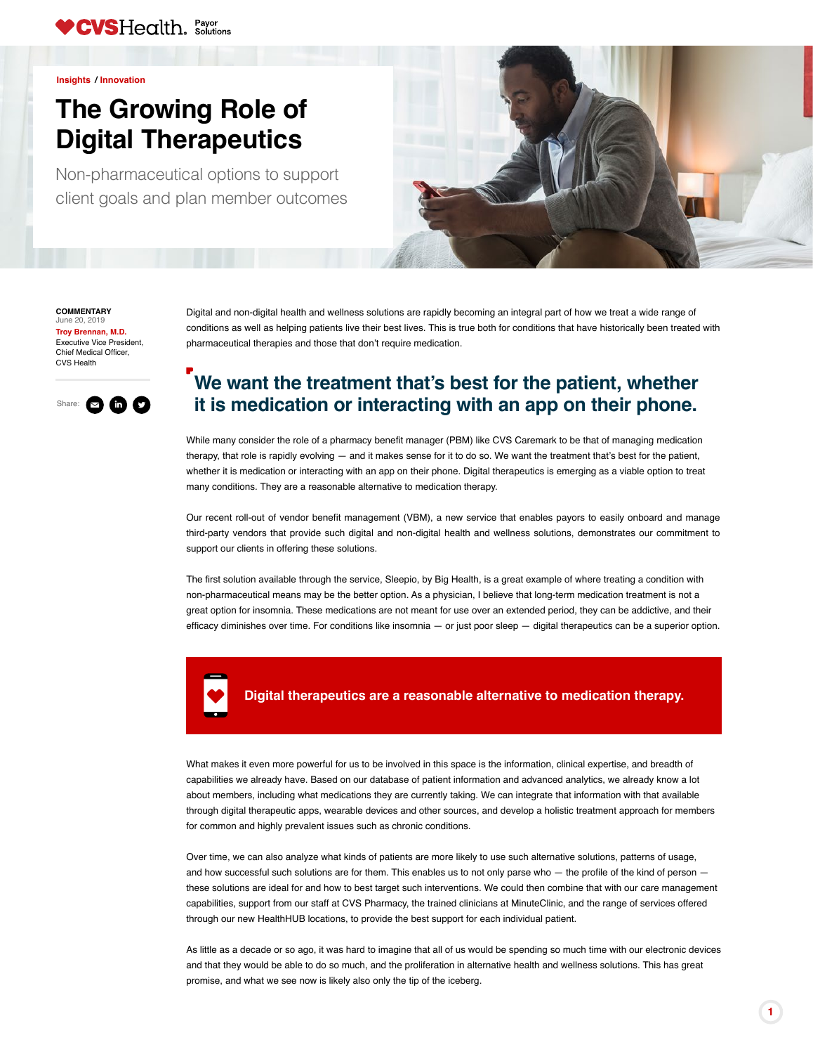**COMMENTARY** June 20, 2019

Executive Vice President, Chief Medical Officer, CVS Health **[Troy Brennan, M.D.](https://payorsolutions.cvshealth.com/insights/contributors/troy-brennan-md)**

## **The Growing Role of Digital Therapeutics**



**[Insights](https://payorsolutions.cvshealth.com/insights) / Innovation**

Non-pharmaceutical options to support client goals and plan member outcomes





What makes it even more powerful for us to be involved in this space is the information, clinical expertise, and breadth of capabilities we already have. Based on our database of patient information and advanced analytics, we already know a lot about members, including what medications they are currently taking. We can integrate that information with that available through digital therapeutic apps, wearable devices and other sources, and develop a holistic treatment approach for members for common and highly prevalent issues such as chronic conditions.

Over time, we can also analyze what kinds of patients are more likely to use such alternative solutions, patterns of usage, and how successful such solutions are for them. This enables us to not only parse who — the profile of the kind of person these solutions are ideal for and how to best target such interventions. We could then combine that with our care management capabilities, support from our staff at CVS Pharmacy, the trained clinicians at MinuteClinic, and the range of services offered through our new HealthHUB locations, to provide the best support for each individual patient.

As little as a decade or so ago, it was hard to imagine that all of us would be spending so much time with our electronic devices and that they would be able to do so much, and the proliferation in alternative health and wellness solutions. This has great promise, and what we see now is likely also only the tip of the iceberg.

## **Digital therapeutics are a reasonable alternative to medication therapy.**

Digital and non-digital health and wellness solutions are rapidly becoming an integral part of how we treat a wide range of conditions as well as helping patients live their best lives. This is true both for conditions that have historically been treated with pharmaceutical therapies and those that don't require medication.

## **We want the treatment that's best for the patient, whether it is medication or interacting with an app on their phone.**

While many consider the role of a pharmacy benefit manager (PBM) like CVS Caremark to be that of managing medication therapy, that role is rapidly evolving — and it makes sense for it to do so. We want the treatment that's best for the patient, whether it is medication or interacting with an app on their phone. Digital therapeutics is emerging as a viable option to treat many conditions. They are a reasonable alternative to medication therapy.

Our recent roll-out of vendor benefit management (VBM), a new service that enables payors to easily onboard and manage third-party vendors that provide such digital and non-digital health and wellness solutions, demonstrates our commitment to

support our clients in offering these solutions.

The first solution available through the service, Sleepio, by Big Health, is a great example of where treating a condition with non-pharmaceutical means may be the better option. As a physician, I believe that long-term medication treatment is not a great option for insomnia. These medications are not meant for use over an extended period, they can be addictive, and their efficacy diminishes over time. For conditions like insomnia — or just poor sleep — digital therapeutics can be a superior option.